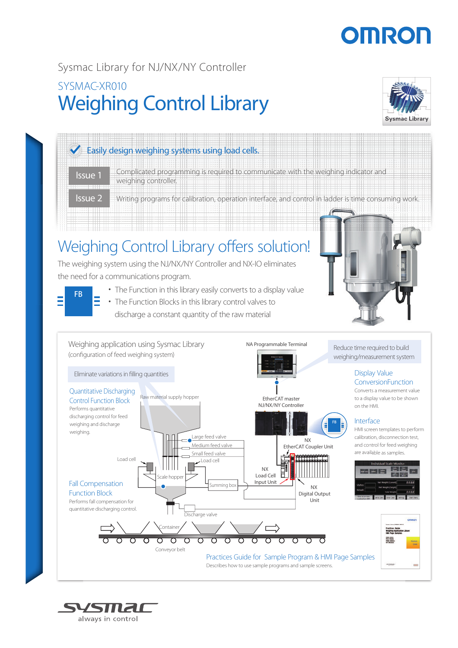## **OMROI**

## Weighing Control Library Sysmac Library for NJ/NX/NY Controller SYSMAC-XR010